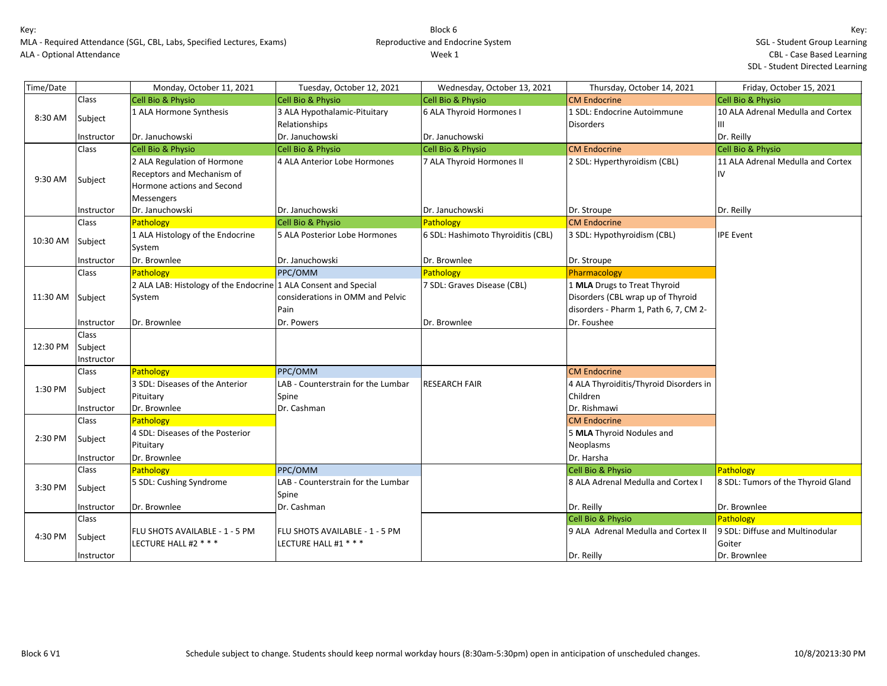MLA - Required Attendance (SGL, CBL, Labs, Specified Lectures, Exams) ALA - Optional Attendance

| Time/Date |            | Monday, October 11, 2021                                        | Tuesday, October 12, 2021          | Wednesday, October 13, 2021        | Thursday, October 14, 2021             | Friday, October 15, 2021           |
|-----------|------------|-----------------------------------------------------------------|------------------------------------|------------------------------------|----------------------------------------|------------------------------------|
|           | Class      | <b>Cell Bio &amp; Physio</b>                                    | <b>Cell Bio &amp; Physio</b>       | <b>Cell Bio &amp; Physio</b>       | <b>CM Endocrine</b>                    | <b>Cell Bio &amp; Physio</b>       |
| 8:30 AM   | Subject    | 1 ALA Hormone Synthesis                                         | 3 ALA Hypothalamic-Pituitary       | 6 ALA Thyroid Hormones I           | 1 SDL: Endocrine Autoimmune            | 10 ALA Adrenal Medulla and Cortex  |
|           |            |                                                                 | Relationships                      |                                    | <b>Disorders</b>                       | Ш                                  |
|           | Instructor | Dr. Januchowski                                                 | Dr. Januchowski                    | Dr. Januchowski                    |                                        | Dr. Reilly                         |
|           | Class      | <b>Cell Bio &amp; Physio</b>                                    | <b>Cell Bio &amp; Physio</b>       | <b>Cell Bio &amp; Physio</b>       | <b>CM Endocrine</b>                    | <b>Cell Bio &amp; Physio</b>       |
|           |            | 2 ALA Regulation of Hormone                                     | 4 ALA Anterior Lobe Hormones       | 7 ALA Thyroid Hormones II          | 2 SDL: Hyperthyroidism (CBL)           | 11 ALA Adrenal Medulla and Cortex  |
| 9:30 AM   | Subject    | Receptors and Mechanism of                                      |                                    |                                    |                                        | IV                                 |
|           |            | Hormone actions and Second                                      |                                    |                                    |                                        |                                    |
|           |            | <b>Messengers</b>                                               |                                    |                                    |                                        |                                    |
|           | Instructor | Dr. Januchowski                                                 | Dr. Januchowski                    | Dr. Januchowski                    | Dr. Stroupe                            | Dr. Reilly                         |
|           | Class      | Pathology                                                       | <b>Cell Bio &amp; Physio</b>       | Pathology                          | <b>CM Endocrine</b>                    |                                    |
| 10:30 AM  | Subject    | 1 ALA Histology of the Endocrine                                | 5 ALA Posterior Lobe Hormones      | 6 SDL: Hashimoto Thyroiditis (CBL) | 3 SDL: Hypothyroidism (CBL)            | <b>IPE Event</b>                   |
|           |            | System                                                          |                                    |                                    |                                        |                                    |
|           | Instructor | Dr. Brownlee                                                    | Dr. Januchowski                    | Dr. Brownlee                       | Dr. Stroupe                            |                                    |
|           | Class      | Pathology                                                       | PPC/OMM                            | Pathology                          | Pharmacology                           |                                    |
|           |            | 2 ALA LAB: Histology of the Endocrine 1 ALA Consent and Special |                                    | 7 SDL: Graves Disease (CBL)        | 1 MLA Drugs to Treat Thyroid           |                                    |
| 11:30 AM  | Subject    | System                                                          | considerations in OMM and Pelvic   |                                    | Disorders (CBL wrap up of Thyroid      |                                    |
|           |            |                                                                 | Pain                               |                                    | disorders - Pharm 1, Path 6, 7, CM 2-  |                                    |
|           | Instructor | Dr. Brownlee                                                    | Dr. Powers                         | Dr. Brownlee                       | Dr. Foushee                            |                                    |
|           | Class      |                                                                 |                                    |                                    |                                        |                                    |
| 12:30 PM  | Subject    |                                                                 |                                    |                                    |                                        |                                    |
|           | Instructor |                                                                 |                                    |                                    |                                        |                                    |
|           | Class      | Pathology                                                       | PPC/OMM                            |                                    | <b>CM Endocrine</b>                    |                                    |
| 1:30 PM   | Subject    | 3 SDL: Diseases of the Anterior                                 | LAB - Counterstrain for the Lumbar | <b>RESEARCH FAIR</b>               | 4 ALA Thyroiditis/Thyroid Disorders in |                                    |
|           |            | Pituitary                                                       | Spine                              |                                    | Children                               |                                    |
|           | Instructor | Dr. Brownlee                                                    | Dr. Cashman                        |                                    | Dr. Rishmawi                           |                                    |
|           | Class      | Pathology                                                       |                                    |                                    | <b>CM Endocrine</b>                    |                                    |
| 2:30 PM   | Subject    | 4 SDL: Diseases of the Posterior                                |                                    |                                    | 5 MLA Thyroid Nodules and              |                                    |
|           |            | Pituitary                                                       |                                    |                                    | Neoplasms                              |                                    |
|           | Instructor | Dr. Brownlee                                                    |                                    |                                    | Dr. Harsha                             |                                    |
|           | Class      | <b>Pathology</b>                                                | PPC/OMM                            |                                    | <b>Cell Bio &amp; Physio</b>           | Pathology                          |
| 3:30 PM   | Subject    | 5 SDL: Cushing Syndrome                                         | LAB - Counterstrain for the Lumbar |                                    | 8 ALA Adrenal Medulla and Cortex I     | 8 SDL: Tumors of the Thyroid Gland |
|           |            |                                                                 | Spine                              |                                    |                                        |                                    |
|           | Instructor | Dr. Brownlee                                                    | Dr. Cashman                        |                                    | Dr. Reilly                             | Dr. Brownlee                       |
|           | Class      |                                                                 |                                    |                                    | Cell Bio & Physio                      | Pathology                          |
| 4:30 PM   | Subject    | FLU SHOTS AVAILABLE - 1 - 5 PM                                  | FLU SHOTS AVAILABLE - 1 - 5 PM     |                                    | 9 ALA Adrenal Medulla and Cortex II    | 9 SDL: Diffuse and Multinodular    |
|           |            | LECTURE HALL #2 * * *                                           | LECTURE HALL #1 * * *              |                                    |                                        | Goiter                             |
|           | Instructor |                                                                 |                                    |                                    | Dr. Reilly                             | Dr. Brownlee                       |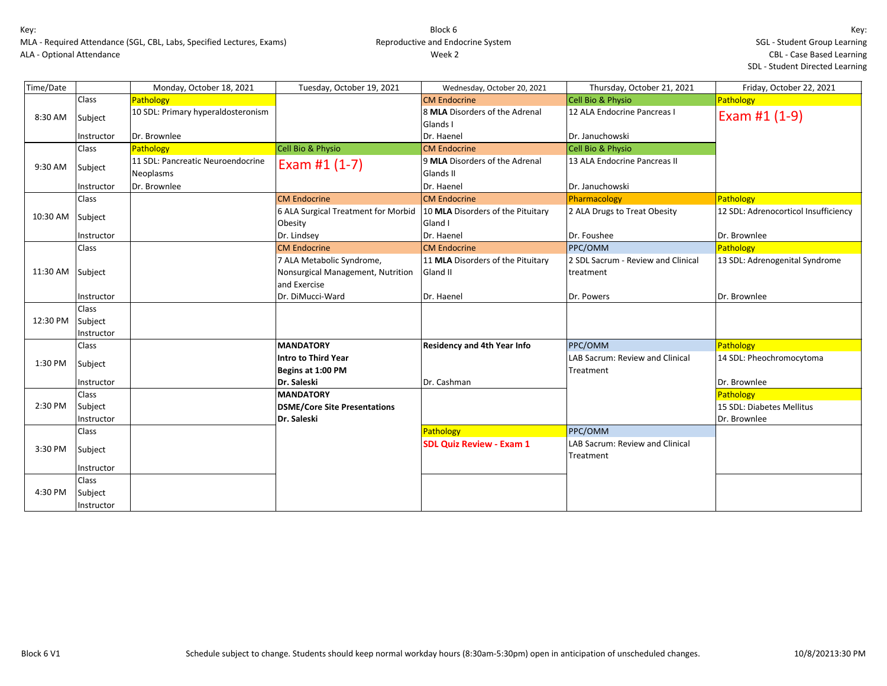MLA - Required Attendance (SGL, CBL, Labs, Specified Lectures, Exams) ALA - Optional Attendance

| Time/Date |              | Monday, October 18, 2021           | Tuesday, October 19, 2021                                               | Wednesday, October 20, 2021        | Thursday, October 21, 2021         | Friday, October 22, 2021             |
|-----------|--------------|------------------------------------|-------------------------------------------------------------------------|------------------------------------|------------------------------------|--------------------------------------|
|           | Class        | Pathology                          |                                                                         | <b>CM Endocrine</b>                | <b>Cell Bio &amp; Physio</b>       | Pathology                            |
| 8:30 AM   | Subject      | 10 SDL: Primary hyperaldosteronism |                                                                         | 8 MLA Disorders of the Adrenal     | 12 ALA Endocrine Pancreas I        | Exam #1 (1-9)                        |
|           |              |                                    |                                                                         | Glands I                           |                                    |                                      |
|           | Instructor   | Dr. Brownlee                       |                                                                         | Dr. Haenel                         | Dr. Januchowski                    |                                      |
|           | Class        | Pathology                          | Cell Bio & Physio                                                       | <b>CM Endocrine</b>                | Cell Bio & Physio                  |                                      |
| 9:30 AM   | Subject      | 11 SDL: Pancreatic Neuroendocrine  | Exam #1 $(1-7)$                                                         | 9 MLA Disorders of the Adrenal     | 13 ALA Endocrine Pancreas II       |                                      |
|           |              | Neoplasms                          |                                                                         | Glands II                          |                                    |                                      |
|           | Instructor   | Dr. Brownlee                       |                                                                         | Dr. Haenel                         | Dr. Januchowski                    |                                      |
|           | Class        |                                    | <b>CM Endocrine</b>                                                     | <b>CM Endocrine</b>                | Pharmacology                       | Pathology                            |
| 10:30 AM  | Subject      |                                    | 6 ALA Surgical Treatment for Morbid   10 MLA Disorders of the Pituitary |                                    | 2 ALA Drugs to Treat Obesity       | 12 SDL: Adrenocorticol Insufficiency |
|           |              |                                    | Obesity                                                                 | Gland I                            |                                    |                                      |
|           | Instructor   |                                    | Dr. Lindsey                                                             | Dr. Haenel                         | Dr. Foushee                        | Dr. Brownlee                         |
|           | Class        |                                    | <b>CM Endocrine</b>                                                     | <b>CM Endocrine</b>                | PPC/OMM                            | Pathology                            |
|           |              |                                    | 7 ALA Metabolic Syndrome,                                               | 11 MLA Disorders of the Pituitary  | 2 SDL Sacrum - Review and Clinical | 13 SDL: Adrenogenital Syndrome       |
| 11:30 AM  | Subject      |                                    | Nonsurgical Management, Nutrition                                       | Gland II                           | treatment                          |                                      |
|           |              |                                    | and Exercise                                                            |                                    |                                    |                                      |
|           | Instructor   |                                    | Dr. DiMucci-Ward                                                        | Dr. Haenel                         | Dr. Powers                         | Dr. Brownlee                         |
|           | <b>Class</b> |                                    |                                                                         |                                    |                                    |                                      |
| 12:30 PM  | Subject      |                                    |                                                                         |                                    |                                    |                                      |
|           | Instructor   |                                    |                                                                         |                                    |                                    |                                      |
|           | Class        |                                    | <b>MANDATORY</b>                                                        | <b>Residency and 4th Year Info</b> | PPC/OMM                            | Pathology                            |
| 1:30 PM   | Subject      |                                    | <b>Intro to Third Year</b>                                              |                                    | LAB Sacrum: Review and Clinical    | 14 SDL: Pheochromocytoma             |
|           |              |                                    | Begins at 1:00 PM                                                       |                                    | Treatment                          |                                      |
|           | Instructor   |                                    | Dr. Saleski                                                             | Dr. Cashman                        |                                    | Dr. Brownlee                         |
|           | Class        |                                    | <b>MANDATORY</b>                                                        |                                    |                                    | Pathology                            |
| 2:30 PM   | Subject      |                                    | <b>DSME/Core Site Presentations</b>                                     |                                    |                                    | 15 SDL: Diabetes Mellitus            |
|           | Instructor   |                                    | Dr. Saleski                                                             |                                    |                                    | Dr. Brownlee                         |
|           | Class        |                                    |                                                                         | Pathology                          | PPC/OMM                            |                                      |
| 3:30 PM   | Subject      |                                    |                                                                         | <b>SDL Quiz Review - Exam 1</b>    | LAB Sacrum: Review and Clinical    |                                      |
|           |              |                                    |                                                                         |                                    | Treatment                          |                                      |
|           | Instructor   |                                    |                                                                         |                                    |                                    |                                      |
|           | Class        |                                    |                                                                         |                                    |                                    |                                      |
| 4:30 PM   | Subject      |                                    |                                                                         |                                    |                                    |                                      |
|           | Instructor   |                                    |                                                                         |                                    |                                    |                                      |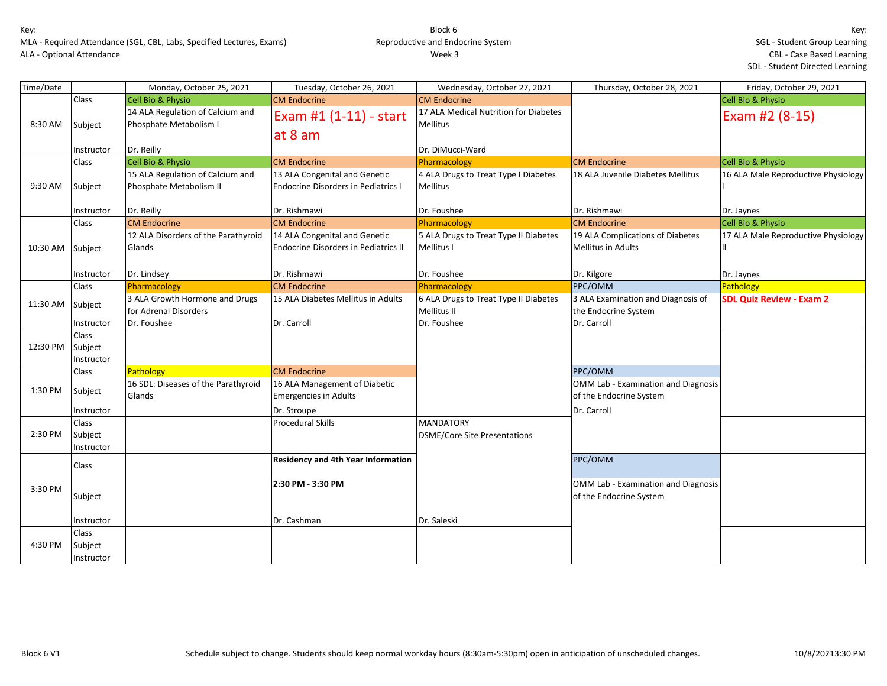| Time/Date |              | Monday, October 25, 2021            | Tuesday, October 26, 2021                   | Wednesday, October 27, 2021           | Thursday, October 28, 2021          | Friday, October 29, 2021            |
|-----------|--------------|-------------------------------------|---------------------------------------------|---------------------------------------|-------------------------------------|-------------------------------------|
|           | Class        | <b>Cell Bio &amp; Physio</b>        | <b>CM Endocrine</b>                         | <b>CM Endocrine</b>                   |                                     | Cell Bio & Physio                   |
|           |              | 14 ALA Regulation of Calcium and    | Exam #1 (1-11) - start                      | 17 ALA Medical Nutrition for Diabetes |                                     | Exam #2 (8-15)                      |
| 8:30 AM   | Subject      | Phosphate Metabolism I              |                                             | <b>Mellitus</b>                       |                                     |                                     |
|           |              |                                     | at 8 am                                     |                                       |                                     |                                     |
|           | Instructor   | Dr. Reilly                          |                                             | Dr. DiMucci-Ward                      |                                     |                                     |
|           | Class        | <b>Cell Bio &amp; Physio</b>        | <b>CM Endocrine</b>                         | Pharmacology                          | <b>CM Endocrine</b>                 | Cell Bio & Physio                   |
|           |              | 15 ALA Regulation of Calcium and    | 13 ALA Congenital and Genetic               | 4 ALA Drugs to Treat Type I Diabetes  | 18 ALA Juvenile Diabetes Mellitus   | 16 ALA Male Reproductive Physiology |
| 9:30 AM   | Subject      | Phosphate Metabolism II             | <b>Endocrine Disorders in Pediatrics I</b>  | <b>Mellitus</b>                       |                                     |                                     |
|           | Instructor   | Dr. Reilly                          | Dr. Rishmawi                                | Dr. Foushee                           | Dr. Rishmawi                        | Dr. Jaynes                          |
|           | Class        | <b>CM Endocrine</b>                 | <b>CM Endocrine</b>                         | Pharmacology                          | <b>CM Endocrine</b>                 | Cell Bio & Physio                   |
|           |              | 12 ALA Disorders of the Parathyroid | 14 ALA Congenital and Genetic               | 5 ALA Drugs to Treat Type II Diabetes | 19 ALA Complications of Diabetes    | 17 ALA Male Reproductive Physiology |
| 10:30 AM  | Subject      | Glands                              | <b>Endocrine Disorders in Pediatrics II</b> | Mellitus I                            | <b>Mellitus in Adults</b>           | Ш                                   |
|           |              |                                     |                                             |                                       |                                     |                                     |
|           | Instructor   | Dr. Lindsey                         | Dr. Rishmawi                                | Dr. Foushee                           | Dr. Kilgore                         | Dr. Jaynes                          |
|           | Class        | Pharmacology                        | <b>CM Endocrine</b>                         | Pharmacology                          | PPC/OMM                             | Pathology                           |
|           |              | 3 ALA Growth Hormone and Drugs      | 15 ALA Diabetes Mellitus in Adults          | 6 ALA Drugs to Treat Type II Diabetes | 3 ALA Examination and Diagnosis of  | <b>SDL Quiz Review - Exam 2</b>     |
| 11:30 AM  | Subject      | for Adrenal Disorders               |                                             | Mellitus II                           | the Endocrine System                |                                     |
|           | Instructor   | Dr. Foushee                         | Dr. Carroll                                 | Dr. Foushee                           | Dr. Carroll                         |                                     |
|           | <b>Class</b> |                                     |                                             |                                       |                                     |                                     |
| 12:30 PM  | Subject      |                                     |                                             |                                       |                                     |                                     |
|           | Instructor   |                                     |                                             |                                       |                                     |                                     |
|           | Class        | Pathology                           | <b>CM Endocrine</b>                         |                                       | PPC/OMM                             |                                     |
|           |              | 16 SDL: Diseases of the Parathyroid | 16 ALA Management of Diabetic               |                                       | OMM Lab - Examination and Diagnosis |                                     |
| 1:30 PM   | Subject      | Glands                              | <b>Emergencies in Adults</b>                |                                       | of the Endocrine System             |                                     |
|           | Instructor   |                                     | Dr. Stroupe                                 |                                       | Dr. Carroll                         |                                     |
|           | Class        |                                     | <b>Procedural Skills</b>                    | <b>MANDATORY</b>                      |                                     |                                     |
| 2:30 PM   | Subject      |                                     |                                             | <b>DSME/Core Site Presentations</b>   |                                     |                                     |
|           | Instructor   |                                     |                                             |                                       |                                     |                                     |
|           | Class        |                                     | <b>Residency and 4th Year Information</b>   |                                       | PPC/OMM                             |                                     |
|           |              |                                     |                                             |                                       |                                     |                                     |
| 3:30 PM   |              |                                     | 2:30 PM - 3:30 PM                           |                                       | OMM Lab - Examination and Diagnosis |                                     |
|           | Subject      |                                     |                                             |                                       | of the Endocrine System             |                                     |
|           |              |                                     |                                             |                                       |                                     |                                     |
|           | Instructor   |                                     | Dr. Cashman                                 | Dr. Saleski                           |                                     |                                     |
|           | Class        |                                     |                                             |                                       |                                     |                                     |
| 4:30 PM   | Subject      |                                     |                                             |                                       |                                     |                                     |
|           | Instructor   |                                     |                                             |                                       |                                     |                                     |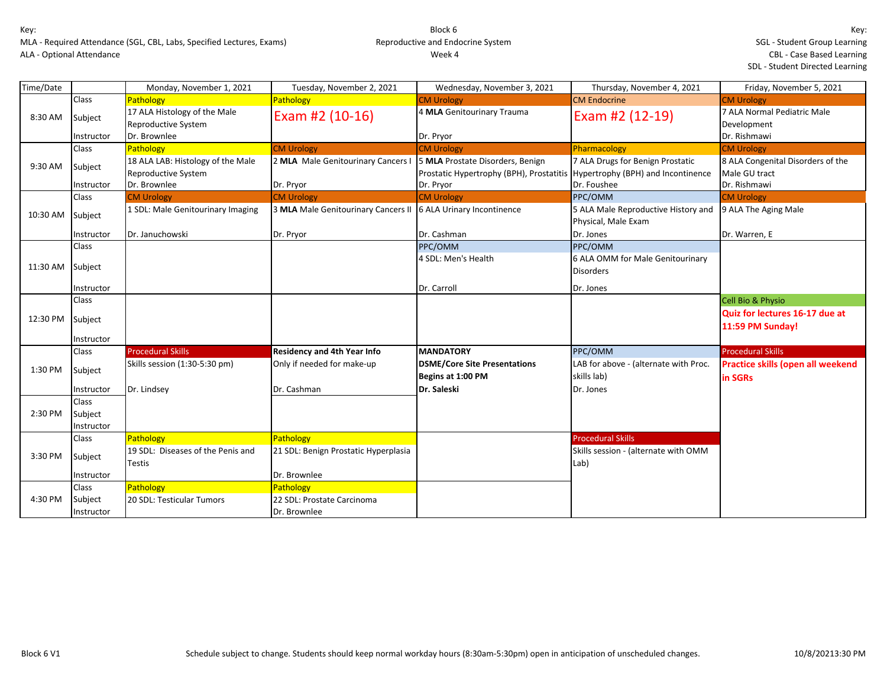| Time/Date |              | Monday, November 1, 2021                            | Tuesday, November 2, 2021            | Wednesday, November 3, 2021              | Thursday, November 4, 2021            | Friday, November 5, 2021                   |
|-----------|--------------|-----------------------------------------------------|--------------------------------------|------------------------------------------|---------------------------------------|--------------------------------------------|
|           | Class        | Pathology                                           | <b>Pathology</b>                     | <b>CM Urology</b>                        | <b>CM Endocrine</b>                   | <b>CM Urology</b>                          |
| 8:30 AM   | Subject      | 17 ALA Histology of the Male<br>Reproductive System | Exam #2 (10-16)                      | 4 MLA Genitourinary Trauma               | Exam #2 (12-19)                       | 7 ALA Normal Pediatric Male<br>Development |
|           | Instructor   | Dr. Brownlee                                        |                                      | Dr. Pryor                                |                                       | Dr. Rishmawi                               |
|           | <b>Class</b> | Pathology                                           | <b>CM Urology</b>                    | <b>CM Urology</b>                        | Pharmacology                          | <b>CM Urology</b>                          |
| 9:30 AM   | Subject      | 18 ALA LAB: Histology of the Male                   | 2 MLA Male Genitourinary Cancers I   | 5 MLA Prostate Disorders, Benign         | 7 ALA Drugs for Benign Prostatic      | 8 ALA Congenital Disorders of the          |
|           |              | Reproductive System                                 |                                      | Prostatic Hypertrophy (BPH), Prostatitis | Hypertrophy (BPH) and Incontinence    | Male GU tract                              |
|           | Instructor   | Dr. Brownlee                                        | Dr. Pryor                            | Dr. Pryor                                | Dr. Foushee                           | Dr. Rishmawi                               |
|           | Class        | <b>CM Urology</b>                                   | <b>CM Urology</b>                    | <b>CM Urology</b>                        | PPC/OMM                               | <b>CM Urology</b>                          |
| 10:30 AM  | Subject      | 1 SDL: Male Genitourinary Imaging                   | 3 MLA Male Genitourinary Cancers II  | 6 ALA Urinary Incontinence               | 5 ALA Male Reproductive History and   | 9 ALA The Aging Male                       |
|           |              |                                                     |                                      |                                          | Physical, Male Exam                   |                                            |
|           | Instructor   | Dr. Januchowski                                     | Dr. Pryor                            | Dr. Cashman                              | Dr. Jones                             | Dr. Warren, E                              |
|           | Class        |                                                     |                                      | PPC/OMM                                  | PPC/OMM                               |                                            |
|           |              |                                                     |                                      | 4 SDL: Men's Health                      | 6 ALA OMM for Male Genitourinary      |                                            |
| 11:30 AM  | Subject      |                                                     |                                      |                                          | <b>Disorders</b>                      |                                            |
|           |              |                                                     |                                      |                                          |                                       |                                            |
|           | Instructor   |                                                     |                                      | Dr. Carroll                              | Dr. Jones                             |                                            |
|           | Class        |                                                     |                                      |                                          |                                       | <b>Cell Bio &amp; Physio</b>               |
| 12:30 PM  | Subject      |                                                     |                                      |                                          |                                       | Quiz for lectures 16-17 due at             |
|           |              |                                                     |                                      |                                          |                                       | 11:59 PM Sunday!                           |
|           | Instructor   |                                                     |                                      |                                          |                                       |                                            |
|           | Class        | <b>Procedural Skills</b>                            | <b>Residency and 4th Year Info</b>   | <b>MANDATORY</b>                         | PPC/OMM                               | <b>Procedural Skills</b>                   |
| 1:30 PM   | Subject      | Skills session (1:30-5:30 pm)                       | Only if needed for make-up           | <b>DSME/Core Site Presentations</b>      | LAB for above - (alternate with Proc. | <b>Practice skills (open all weekend</b>   |
|           |              |                                                     |                                      | Begins at 1:00 PM                        | skills lab)                           | in SGRs                                    |
|           | Instructor   | Dr. Lindsey                                         | Dr. Cashman                          | Dr. Saleski                              | Dr. Jones                             |                                            |
|           | Class        |                                                     |                                      |                                          |                                       |                                            |
| 2:30 PM   | Subject      |                                                     |                                      |                                          |                                       |                                            |
|           | Instructor   |                                                     |                                      |                                          |                                       |                                            |
|           | Class        | Pathology                                           | Pathology                            |                                          | <b>Procedural Skills</b>              |                                            |
|           |              | 19 SDL: Diseases of the Penis and                   | 21 SDL: Benign Prostatic Hyperplasia |                                          | Skills session - (alternate with OMM  |                                            |
| 3:30 PM   | Subject      | <b>Testis</b>                                       |                                      |                                          | Lab)                                  |                                            |
|           | Instructor   |                                                     | Dr. Brownlee                         |                                          |                                       |                                            |
|           | Class        | Pathology                                           | Pathology                            |                                          |                                       |                                            |
| 4:30 PM   | Subject      | 20 SDL: Testicular Tumors                           | 22 SDL: Prostate Carcinoma           |                                          |                                       |                                            |
|           | Instructor   |                                                     | Dr. Brownlee                         |                                          |                                       |                                            |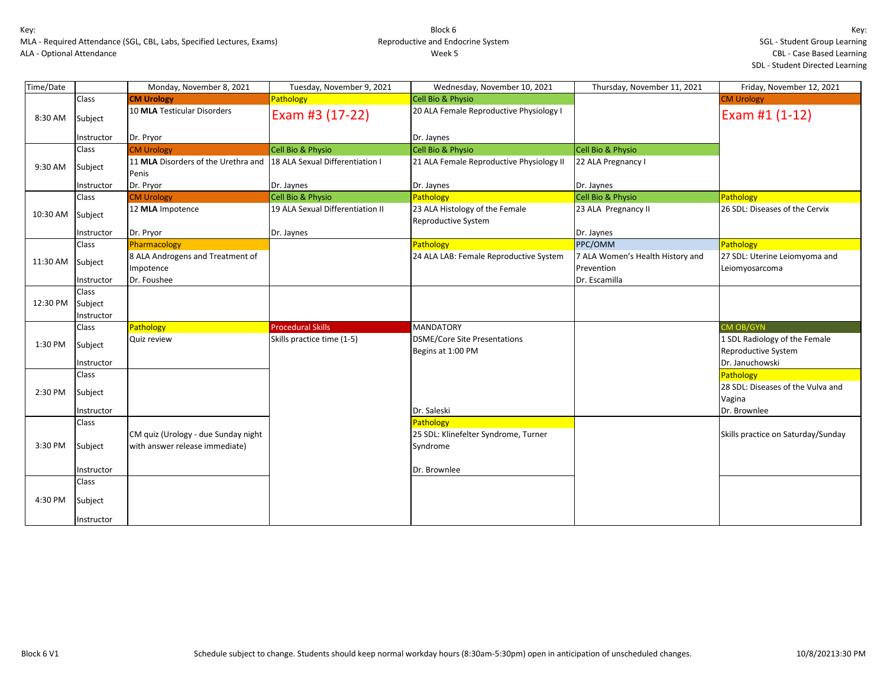| Time/Date |                       | Monday, November 8, 2021                                              | Tuesday, November 9, 2021        | Wednesday, November 10, 2021                                  | Thursday, November 11, 2021                    | Friday, November 12, 2021                                                      |
|-----------|-----------------------|-----------------------------------------------------------------------|----------------------------------|---------------------------------------------------------------|------------------------------------------------|--------------------------------------------------------------------------------|
|           | Class                 | <b>CM Urology</b>                                                     | Pathology                        | Cell Bio & Physio                                             |                                                | <b>CM Urology</b>                                                              |
| 8:30 AM   | Subject               | 10 MLA Testicular Disorders                                           | Exam #3 (17-22)                  | 20 ALA Female Reproductive Physiology I                       |                                                | Exam #1 (1-12)                                                                 |
|           | Instructor            | Dr. Pryor                                                             |                                  | Dr. Jaynes                                                    |                                                |                                                                                |
|           | Class                 | <b>CM Urology</b>                                                     | Cell Bio & Physio                | Cell Bio & Physio                                             | Cell Bio & Physio                              |                                                                                |
| 9:30 AM   | Subject               | 11 MLA Disorders of the Urethra and<br>Penis                          | 18 ALA Sexual Differentiation I  | 21 ALA Female Reproductive Physiology II                      | 22 ALA Pregnancy I                             |                                                                                |
|           | Instructor            | Dr. Pryor                                                             | Dr. Jaynes                       | Dr. Jaynes                                                    | Dr. Jaynes                                     |                                                                                |
|           | Class                 | <b>CM Urology</b>                                                     | Cell Bio & Physio                | <b>Pathology</b>                                              | Cell Bio & Physio                              | Pathology                                                                      |
| 10:30 AM  | Subject               | 12 MLA Impotence                                                      | 19 ALA Sexual Differentiation II | 23 ALA Histology of the Female<br>Reproductive System         | 23 ALA Pregnancy II                            | 26 SDL: Diseases of the Cervix                                                 |
|           | Instructor            | Dr. Pryor                                                             | Dr. Jaynes                       |                                                               | Dr. Jaynes                                     |                                                                                |
|           | Class                 | Pharmacology                                                          |                                  | Pathology                                                     | PPC/OMM                                        | <b>Pathology</b>                                                               |
| 11:30 AM  | Subject               | 8 ALA Androgens and Treatment of<br>Impotence                         |                                  | 24 ALA LAB: Female Reproductive System                        | 7 ALA Women's Health History and<br>Prevention | 27 SDL: Uterine Leiomyoma and<br>Leiomyosarcoma                                |
|           | Instructor            | Dr. Foushee                                                           |                                  |                                                               | Dr. Escamilla                                  |                                                                                |
| 12:30 PM  | Class<br>Subject      |                                                                       |                                  |                                                               |                                                |                                                                                |
|           | Instructor            |                                                                       |                                  |                                                               |                                                |                                                                                |
|           | Class                 | Pathology                                                             | <b>Procedural Skills</b>         | <b>MANDATORY</b>                                              |                                                | <b>CM OB/GYN</b>                                                               |
| 1:30 PM   | Subject<br>Instructor | Quiz review                                                           | Skills practice time (1-5)       | <b>DSME/Core Site Presentations</b><br>Begins at 1:00 PM      |                                                | 1 SDL Radiology of the Female<br><b>Reproductive System</b><br>Dr. Januchowski |
|           | Class                 |                                                                       |                                  |                                                               |                                                | Pathology                                                                      |
| 2:30 PM   | Subject               |                                                                       |                                  |                                                               |                                                | 28 SDL: Diseases of the Vulva and<br>Vagina                                    |
|           | Instructor            |                                                                       |                                  | Dr. Saleski                                                   |                                                | Dr. Brownlee                                                                   |
| 3:30 PM   | Class<br>Subject      | CM quiz (Urology - due Sunday night<br>with answer release immediate) |                                  | Pathology<br>25 SDL: Klinefelter Syndrome, Turner<br>Syndrome |                                                | Skills practice on Saturday/Sunday                                             |
|           | Instructor            |                                                                       |                                  | Dr. Brownlee                                                  |                                                |                                                                                |
|           | Class                 |                                                                       |                                  |                                                               |                                                |                                                                                |
| 4:30 PM   | Subject               |                                                                       |                                  |                                                               |                                                |                                                                                |
|           | Instructor            |                                                                       |                                  |                                                               |                                                |                                                                                |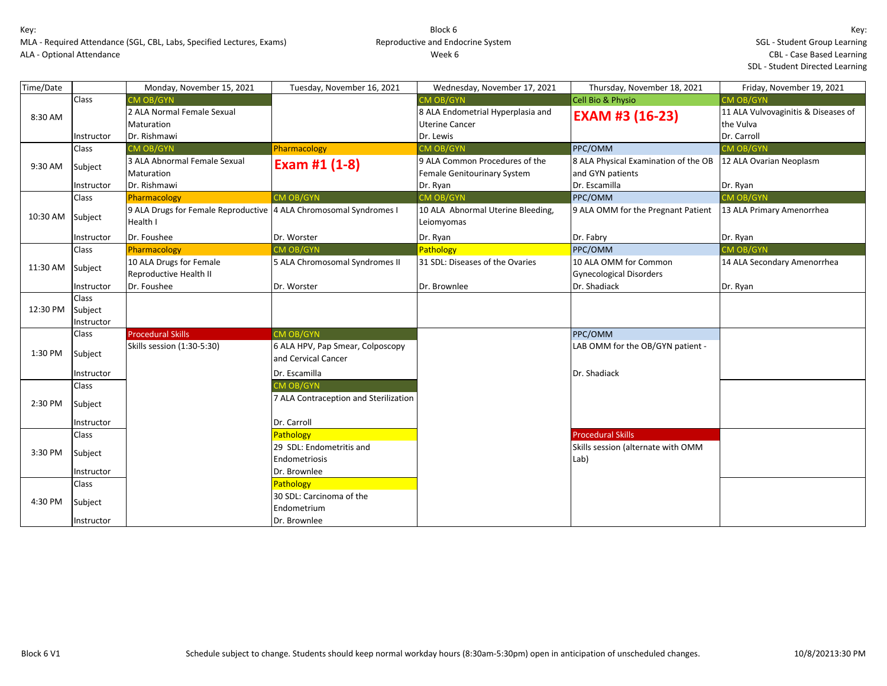MLA - Required Attendance (SGL, CBL, Labs, Specified Lectures, Exams) ALA - Optional Attendance

subject 30 SDL: Carcinoma of the

Instructor and Dr. Brownlee

Endometrium

### Block 6 Reproductive and Endocrine System Week 6

| Time/Date |              | Monday, November 15, 2021                                         | Tuesday, November 16, 2021            | Wednesday, November 17, 2021      | Thursday, November 18, 2021          | Friday, November 19, 2021           |
|-----------|--------------|-------------------------------------------------------------------|---------------------------------------|-----------------------------------|--------------------------------------|-------------------------------------|
|           | <b>Class</b> | <b>CM OB/GYN</b>                                                  |                                       | <b>CM OB/GYN</b>                  | Cell Bio & Physio                    | <b>CM OB/GYN</b>                    |
| 8:30 AM   |              | 2 ALA Normal Female Sexual                                        |                                       | 8 ALA Endometrial Hyperplasia and | <b>EXAM #3 (16-23)</b>               | 11 ALA Vulvovaginitis & Diseases of |
|           |              | Maturation                                                        |                                       | <b>Uterine Cancer</b>             |                                      | the Vulva                           |
|           | Instructor   | Dr. Rishmawi                                                      |                                       | Dr. Lewis                         |                                      | Dr. Carroll                         |
|           | <b>Class</b> | CM OB/GYN                                                         | Pharmacology                          | CM OB/GYN                         | PPC/OMM                              | CM OB/GYN                           |
| 9:30 AM   | Subject      | 3 ALA Abnormal Female Sexual                                      | Exam #1 $(1-8)$                       | 9 ALA Common Procedures of the    | 8 ALA Physical Examination of the OB | 12 ALA Ovarian Neoplasm             |
|           |              | Maturation                                                        |                                       | Female Genitourinary System       | and GYN patients                     |                                     |
|           | Instructor   | Dr. Rishmawi                                                      |                                       | Dr. Ryan                          | Dr. Escamilla                        | Dr. Ryan                            |
|           | <b>Class</b> | Pharmacology                                                      | CM OB/GYN                             | <b>CM OB/GYN</b>                  | PPC/OMM                              | CM OB/GYN                           |
|           |              | 9 ALA Drugs for Female Reproductive 4 ALA Chromosomal Syndromes I |                                       | 10 ALA Abnormal Uterine Bleeding, | 9 ALA OMM for the Pregnant Patient   | 13 ALA Primary Amenorrhea           |
| 10:30 AM  | Subject      | Health I                                                          |                                       | Leiomyomas                        |                                      |                                     |
|           | Instructor   | Dr. Foushee                                                       | Dr. Worster                           | Dr. Ryan                          | Dr. Fabry                            | Dr. Ryan                            |
|           | <b>Class</b> | Pharmacology                                                      | CM OB/GYN                             | Pathology                         | PPC/OMM                              | <b>CM OB/GYN</b>                    |
|           | Subject      | 10 ALA Drugs for Female                                           | 5 ALA Chromosomal Syndromes II        | 31 SDL: Diseases of the Ovaries   | 10 ALA OMM for Common                | 14 ALA Secondary Amenorrhea         |
| 11:30 AM  |              | Reproductive Health II                                            |                                       |                                   | <b>Gynecological Disorders</b>       |                                     |
|           | Instructor   | Dr. Foushee                                                       | Dr. Worster                           | Dr. Brownlee                      | Dr. Shadiack                         | Dr. Ryan                            |
|           | <b>Class</b> |                                                                   |                                       |                                   |                                      |                                     |
| 12:30 PM  | Subject      |                                                                   |                                       |                                   |                                      |                                     |
|           | Instructor   |                                                                   |                                       |                                   |                                      |                                     |
|           | Class        | <b>Procedural Skills</b>                                          | <b>CM OB/GYN</b>                      |                                   | PPC/OMM                              |                                     |
| 1:30 PM   | Subject      | Skills session (1:30-5:30)                                        | 6 ALA HPV, Pap Smear, Colposcopy      |                                   | LAB OMM for the OB/GYN patient -     |                                     |
|           |              |                                                                   | and Cervical Cancer                   |                                   |                                      |                                     |
|           | Instructor   |                                                                   | Dr. Escamilla                         |                                   | Dr. Shadiack                         |                                     |
|           | Class        |                                                                   | <b>CM OB/GYN</b>                      |                                   |                                      |                                     |
| 2:30 PM   | Subject      |                                                                   | 7 ALA Contraception and Sterilization |                                   |                                      |                                     |
|           | Instructor   |                                                                   | Dr. Carroll                           |                                   |                                      |                                     |
|           | Class        |                                                                   | Pathology                             |                                   | <b>Procedural Skills</b>             |                                     |
| 3:30 PM   |              |                                                                   | 29 SDL: Endometritis and              |                                   | Skills session (alternate with OMM   |                                     |
|           | Subject      |                                                                   | Endometriosis                         |                                   | Lab)                                 |                                     |
|           | Instructor   |                                                                   | Dr. Brownlee                          |                                   |                                      |                                     |
|           | Class        |                                                                   | Pathology                             |                                   |                                      |                                     |

4:30 PM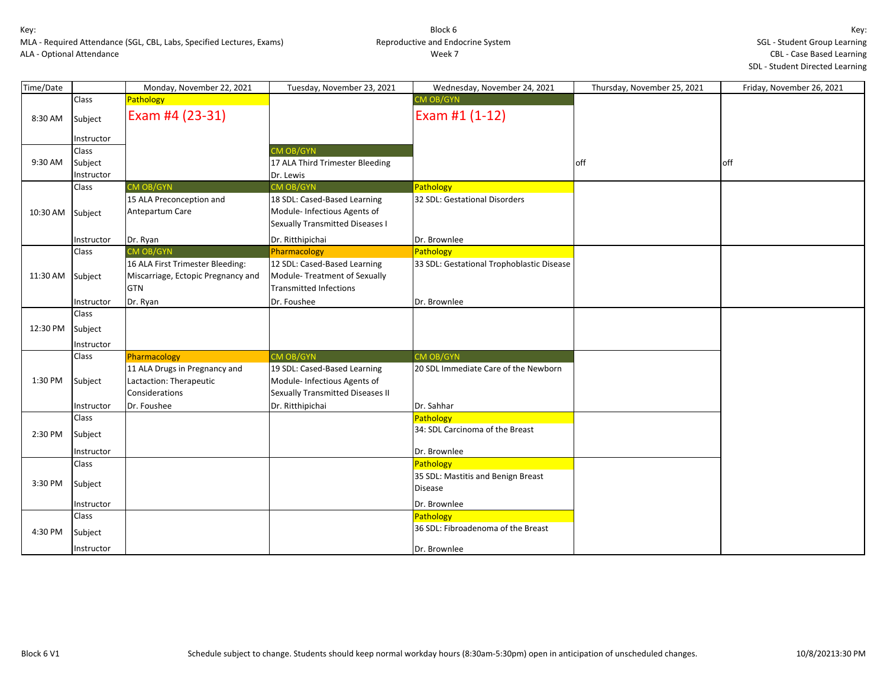| Time/Date |            | Monday, November 22, 2021          | Tuesday, November 23, 2021                                      | Wednesday, November 24, 2021                    | Thursday, November 25, 2021 | Friday, November 26, 2021 |
|-----------|------------|------------------------------------|-----------------------------------------------------------------|-------------------------------------------------|-----------------------------|---------------------------|
|           | Class      | Pathology                          |                                                                 | CM OB/GYN                                       |                             |                           |
| 8:30 AM   | Subject    | Exam #4 (23-31)                    |                                                                 | Exam #1 (1-12)                                  |                             |                           |
|           | Instructor |                                    |                                                                 |                                                 |                             |                           |
|           | Class      |                                    | <b>CM OB/GYN</b>                                                |                                                 |                             |                           |
| 9:30 AM   | Subject    |                                    | 17 ALA Third Trimester Bleeding                                 |                                                 | off                         | off                       |
|           | Instructor |                                    | Dr. Lewis                                                       |                                                 |                             |                           |
|           | Class      | CM OB/GYN                          | CM OB/GYN                                                       | Pathology                                       |                             |                           |
|           |            | 15 ALA Preconception and           | 18 SDL: Cased-Based Learning                                    | 32 SDL: Gestational Disorders                   |                             |                           |
| 10:30 AM  | Subject    | Antepartum Care                    | Module- Infectious Agents of<br>Sexually Transmitted Diseases I |                                                 |                             |                           |
|           | Instructor | Dr. Ryan                           | Dr. Ritthipichai                                                | Dr. Brownlee                                    |                             |                           |
|           | Class      | <b>CM OB/GYN</b>                   | Pharmacology                                                    | Pathology                                       |                             |                           |
|           |            | 16 ALA First Trimester Bleeding:   | 12 SDL: Cased-Based Learning                                    | 33 SDL: Gestational Trophoblastic Disease       |                             |                           |
| 11:30 AM  | Subject    | Miscarriage, Ectopic Pregnancy and | Module-Treatment of Sexually                                    |                                                 |                             |                           |
|           |            | <b>GTN</b>                         | <b>Transmitted Infections</b>                                   |                                                 |                             |                           |
|           | Instructor | Dr. Ryan                           | Dr. Foushee                                                     | Dr. Brownlee                                    |                             |                           |
|           | Class      |                                    |                                                                 |                                                 |                             |                           |
| 12:30 PM  | Subject    |                                    |                                                                 |                                                 |                             |                           |
|           | Instructor |                                    |                                                                 |                                                 |                             |                           |
|           | Class      | Pharmacology                       | <b>CM OB/GYN</b>                                                | CM OB/GYN                                       |                             |                           |
|           |            | 11 ALA Drugs in Pregnancy and      | 19 SDL: Cased-Based Learning                                    | 20 SDL Immediate Care of the Newborn            |                             |                           |
| 1:30 PM   | Subject    | Lactaction: Therapeutic            | Module- Infectious Agents of                                    |                                                 |                             |                           |
|           |            | Considerations                     | Sexually Transmitted Diseases II                                |                                                 |                             |                           |
|           | Instructor | Dr. Foushee                        | Dr. Ritthipichai                                                | Dr. Sahhar                                      |                             |                           |
|           | Class      |                                    |                                                                 | Pathology                                       |                             |                           |
| 2:30 PM   | Subject    |                                    |                                                                 | 34: SDL Carcinoma of the Breast                 |                             |                           |
|           | Instructor |                                    |                                                                 | Dr. Brownlee                                    |                             |                           |
|           | Class      |                                    |                                                                 | Pathology                                       |                             |                           |
|           |            |                                    |                                                                 | 35 SDL: Mastitis and Benign Breast              |                             |                           |
| 3:30 PM   | Subject    |                                    |                                                                 | <b>Disease</b>                                  |                             |                           |
|           |            |                                    |                                                                 |                                                 |                             |                           |
|           | Instructor |                                    |                                                                 | Dr. Brownlee                                    |                             |                           |
|           | Class      |                                    |                                                                 | Pathology<br>36 SDL: Fibroadenoma of the Breast |                             |                           |
| 4:30 PM   | Subject    |                                    |                                                                 |                                                 |                             |                           |
|           | Instructor |                                    |                                                                 | Dr. Brownlee                                    |                             |                           |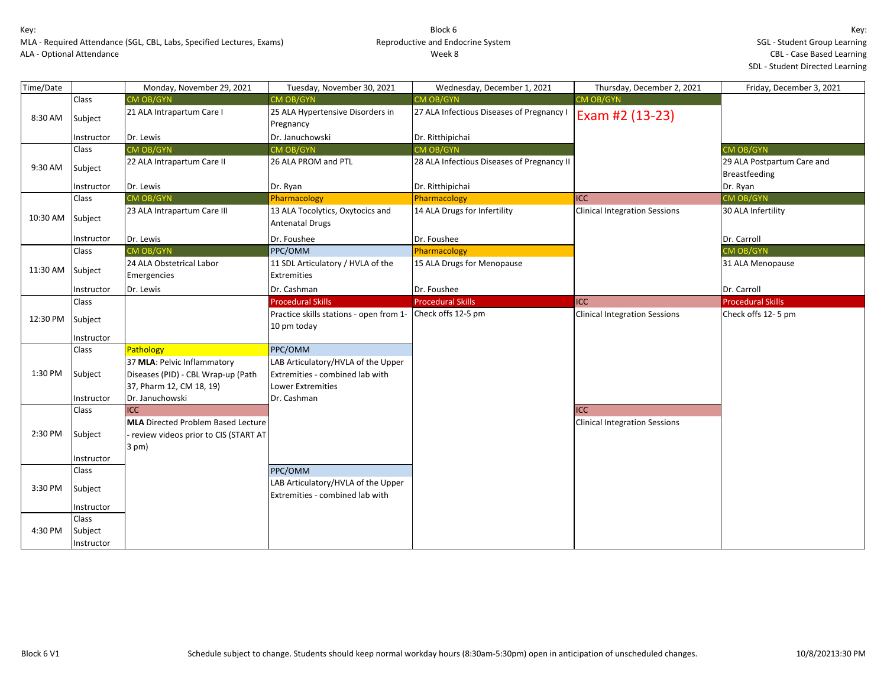| Time/Date |                                | Monday, November 29, 2021                                                                                       | Tuesday, November 30, 2021                                                                 | Wednesday, December 1, 2021                | Thursday, December 2, 2021                         | Friday, December 3, 2021                    |
|-----------|--------------------------------|-----------------------------------------------------------------------------------------------------------------|--------------------------------------------------------------------------------------------|--------------------------------------------|----------------------------------------------------|---------------------------------------------|
|           | Class                          | <b>MOB/GYN</b>                                                                                                  | CM OB/GYN                                                                                  | <b>CM OB/GYN</b>                           | CM OB/GYN                                          |                                             |
| 8:30 AM   | Subject                        | 21 ALA Intrapartum Care I                                                                                       | 25 ALA Hypertensive Disorders in<br>Pregnancy                                              | 27 ALA Infectious Diseases of Pregnancy I  | Exam #2 (13-23)                                    |                                             |
|           | Instructor                     | Dr. Lewis                                                                                                       | Dr. Januchowski                                                                            | Dr. Ritthipichai                           |                                                    |                                             |
|           | Class                          | CM OB/GYN                                                                                                       | CM OB/GYN                                                                                  | <b>CM OB/GYN</b>                           |                                                    | <b>CM OB/GYN</b>                            |
| 9:30 AM   | Subject                        | 22 ALA Intrapartum Care II                                                                                      | 26 ALA PROM and PTL                                                                        | 28 ALA Infectious Diseases of Pregnancy II |                                                    | 29 ALA Postpartum Care and<br>Breastfeeding |
|           | Instructor                     | Dr. Lewis                                                                                                       | Dr. Ryan                                                                                   | Dr. Ritthipichai                           |                                                    | Dr. Ryan                                    |
|           | Class                          | CM OB/GYN                                                                                                       | Pharmacology                                                                               | Pharmacology                               | <b>ICC</b>                                         | <b>CM OB/GYN</b>                            |
| 10:30 AM  | Subject                        | 23 ALA Intrapartum Care III                                                                                     | 13 ALA Tocolytics, Oxytocics and<br><b>Antenatal Drugs</b>                                 | 14 ALA Drugs for Infertility               | <b>Clinical Integration Sessions</b>               | 30 ALA Infertility                          |
|           | Instructor                     | Dr. Lewis                                                                                                       | Dr. Foushee                                                                                | Dr. Foushee                                |                                                    | Dr. Carroll                                 |
|           | Class                          | <b>CM OB/GYN</b>                                                                                                | PPC/OMM                                                                                    | Pharmacology                               |                                                    | <b>CM OB/GYN</b>                            |
| 11:30 AM  | Subject                        | 24 ALA Obstetrical Labor<br>Emergencies                                                                         | 11 SDL Articulatory / HVLA of the<br><b>Extremities</b>                                    | 15 ALA Drugs for Menopause                 |                                                    | 31 ALA Menopause                            |
|           | Instructor                     | Dr. Lewis                                                                                                       | Dr. Cashman                                                                                | Dr. Foushee                                |                                                    | Dr. Carroll                                 |
|           | Class                          |                                                                                                                 | <b>Procedural Skills</b>                                                                   | <b>Procedural Skills</b>                   | <b>ICC</b>                                         | <b>Procedural Skills</b>                    |
| 12:30 PM  | Subject                        |                                                                                                                 | Practice skills stations - open from 1-<br>10 pm today                                     | Check offs 12-5 pm                         | <b>Clinical Integration Sessions</b>               | Check offs 12-5 pm                          |
|           | Instructor<br>Class            | Pathology                                                                                                       | PPC/OMM                                                                                    |                                            |                                                    |                                             |
| 1:30 PM   | Subject                        | 37 MLA: Pelvic Inflammatory<br>Diseases (PID) - CBL Wrap-up (Path<br>37, Pharm 12, CM 18, 19)                   | LAB Articulatory/HVLA of the Upper<br>Extremities - combined lab with<br>Lower Extremities |                                            |                                                    |                                             |
|           | Instructor                     | Dr. Januchowski                                                                                                 | Dr. Cashman                                                                                |                                            |                                                    |                                             |
| 2:30 PM   | Class<br>Subject               | <b>ICC</b><br><b>MLA</b> Directed Problem Based Lecture<br>- review videos prior to CIS (START AT<br>$3$ pm $)$ |                                                                                            |                                            | <b>ICC</b><br><b>Clinical Integration Sessions</b> |                                             |
|           | Instructor                     |                                                                                                                 |                                                                                            |                                            |                                                    |                                             |
|           | Class                          |                                                                                                                 | PPC/OMM                                                                                    |                                            |                                                    |                                             |
| 3:30 PM   | Subject                        |                                                                                                                 | LAB Articulatory/HVLA of the Upper<br>Extremities - combined lab with                      |                                            |                                                    |                                             |
|           | Instructor                     |                                                                                                                 |                                                                                            |                                            |                                                    |                                             |
| 4:30 PM   | Class<br>Subject<br>Instructor |                                                                                                                 |                                                                                            |                                            |                                                    |                                             |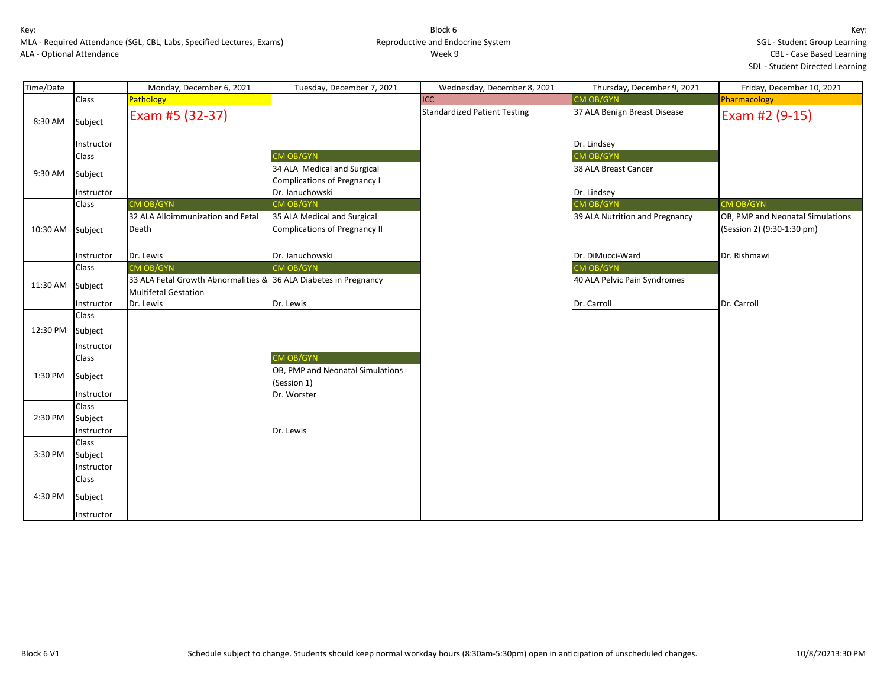MLA - Required Attendance (SGL, CBL, Labs, Specified Lectures, Exams) ALA - Optional Attendance

# Block 6 Reproductive and Endocrine System Week 9

Key: SGL - Student Group Learning CBL - Case Based Learning SDL - Student Directed Learning

| Time/Date        |            | Monday, December 6, 2021                                         | Tuesday, December 7, 2021        | Wednesday, December 8, 2021         | Thursday, December 9, 2021     | Friday, December 10, 2021        |
|------------------|------------|------------------------------------------------------------------|----------------------------------|-------------------------------------|--------------------------------|----------------------------------|
|                  | Class      | Pathology                                                        |                                  | ICC                                 | CM OB/GYN                      | Pharmacology                     |
| 8:30 AM          | Subject    | Exam #5 (32-37)                                                  |                                  | <b>Standardized Patient Testing</b> | 37 ALA Benign Breast Disease   | Exam #2 (9-15)                   |
|                  | Instructor |                                                                  |                                  |                                     | Dr. Lindsey                    |                                  |
|                  | Class      |                                                                  | CM OB/GYN                        |                                     | CM OB/GYN                      |                                  |
| 9:30 AM          | Subject    |                                                                  | 34 ALA Medical and Surgical      |                                     | 38 ALA Breast Cancer           |                                  |
|                  |            |                                                                  | Complications of Pregnancy I     |                                     |                                |                                  |
|                  | Instructor |                                                                  | Dr. Januchowski                  |                                     | Dr. Lindsey                    |                                  |
|                  | Class      | CM OB/GYN                                                        | CM OB/GYN                        |                                     | CM OB/GYN                      | <b>CM OB/GYN</b>                 |
|                  |            | 32 ALA Alloimmunization and Fetal                                | 35 ALA Medical and Surgical      |                                     | 39 ALA Nutrition and Pregnancy | OB, PMP and Neonatal Simulations |
| 10:30 AM Subject |            | Death                                                            | Complications of Pregnancy II    |                                     |                                | (Session 2) (9:30-1:30 pm)       |
|                  |            |                                                                  |                                  |                                     |                                |                                  |
|                  | Instructor | Dr. Lewis                                                        | Dr. Januchowski                  |                                     | Dr. DiMucci-Ward               | Dr. Rishmawi                     |
|                  | Class      | <b>CM OB/GYN</b>                                                 | <b>CM OB/GYN</b>                 |                                     | CM OB/GYN                      |                                  |
| 11:30 AM         | Subject    | 33 ALA Fetal Growth Abnormalities & 36 ALA Diabetes in Pregnancy |                                  |                                     | 40 ALA Pelvic Pain Syndromes   |                                  |
|                  |            | <b>Multifetal Gestation</b>                                      |                                  |                                     |                                |                                  |
|                  | Instructor | Dr. Lewis                                                        | Dr. Lewis                        |                                     | Dr. Carroll                    | Dr. Carroll                      |
|                  | Class      |                                                                  |                                  |                                     |                                |                                  |
| 12:30 PM         | Subject    |                                                                  |                                  |                                     |                                |                                  |
|                  | Instructor |                                                                  |                                  |                                     |                                |                                  |
|                  | Class      |                                                                  | <b>CM OB/GYN</b>                 |                                     |                                |                                  |
|                  |            |                                                                  | OB, PMP and Neonatal Simulations |                                     |                                |                                  |
| 1:30 PM          | Subject    |                                                                  | (Session 1)                      |                                     |                                |                                  |
|                  | Instructor |                                                                  | Dr. Worster                      |                                     |                                |                                  |
|                  | Class      |                                                                  |                                  |                                     |                                |                                  |
| 2:30 PM          | Subject    |                                                                  |                                  |                                     |                                |                                  |
|                  | Instructor |                                                                  | Dr. Lewis                        |                                     |                                |                                  |
|                  | Class      |                                                                  |                                  |                                     |                                |                                  |
| 3:30 PM          | Subject    |                                                                  |                                  |                                     |                                |                                  |
|                  | Instructor |                                                                  |                                  |                                     |                                |                                  |
|                  | Class      |                                                                  |                                  |                                     |                                |                                  |
| 4:30 PM          | Subject    |                                                                  |                                  |                                     |                                |                                  |
|                  | Instructor |                                                                  |                                  |                                     |                                |                                  |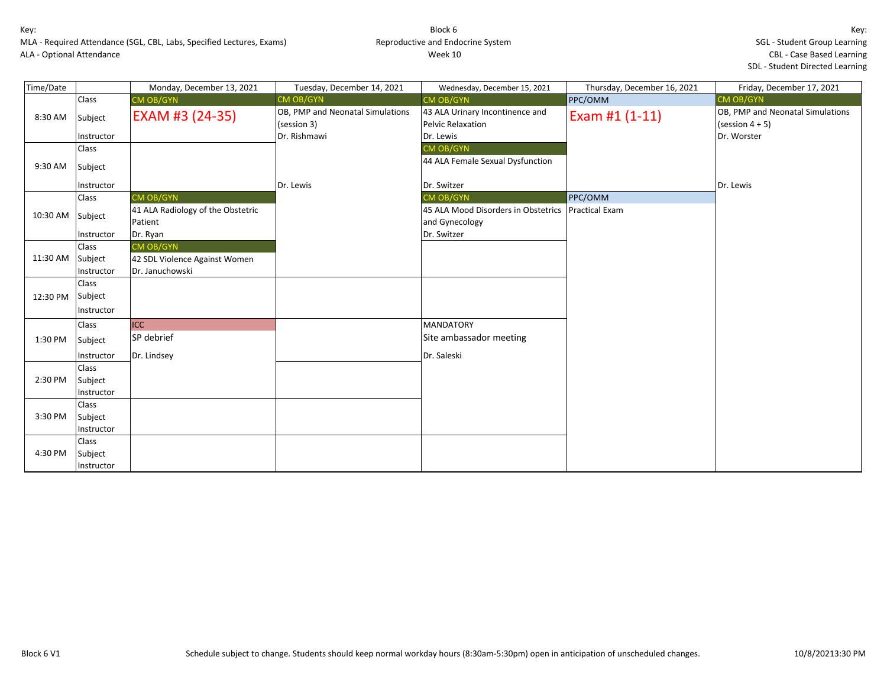MLA - Required Attendance (SGL, CBL, Labs, Specified Lectures, Exams) ALA - Optional Attendance

| Time/Date |            | Monday, December 13, 2021                    | Tuesday, December 14, 2021                      | Wednesday, December 15, 2021                          | Thursday, December 16, 2021 | Friday, December 17, 2021                              |
|-----------|------------|----------------------------------------------|-------------------------------------------------|-------------------------------------------------------|-----------------------------|--------------------------------------------------------|
|           | Class      | CM OB/GYN                                    | <b>CM OB/GYN</b>                                | CM OB/GYN                                             | PPC/OMM                     | CM OB/GYN                                              |
| 8:30 AM   | Subject    | EXAM #3 (24-35)                              | OB, PMP and Neonatal Simulations<br>(session 3) | 43 ALA Urinary Incontinence and<br>Pelvic Relaxation  | Exam #1 (1-11)              | OB, PMP and Neonatal Simulations<br>(session $4 + 5$ ) |
|           | Instructor |                                              | Dr. Rishmawi                                    | Dr. Lewis                                             |                             | Dr. Worster                                            |
|           | Class      |                                              |                                                 | <b>CM OB/GYN</b>                                      |                             |                                                        |
| 9:30 AM   | Subject    |                                              |                                                 | 44 ALA Female Sexual Dysfunction                      |                             |                                                        |
|           | Instructor |                                              | Dr. Lewis                                       | Dr. Switzer                                           |                             | Dr. Lewis                                              |
|           | Class      | CM OB/GYN                                    |                                                 | <b>CM OB/GYN</b>                                      | PPC/OMM                     |                                                        |
| 10:30 AM  | Subject    | 41 ALA Radiology of the Obstetric<br>Patient |                                                 | 45 ALA Mood Disorders in Obstetrics<br>and Gynecology | <b>Practical Exam</b>       |                                                        |
|           | Instructor | Dr. Ryan                                     |                                                 | Dr. Switzer                                           |                             |                                                        |
|           | Class      | CM OB/GYN                                    |                                                 |                                                       |                             |                                                        |
| 11:30 AM  | Subject    | 42 SDL Violence Against Women                |                                                 |                                                       |                             |                                                        |
|           | Instructor | Dr. Januchowski                              |                                                 |                                                       |                             |                                                        |
|           | Class      |                                              |                                                 |                                                       |                             |                                                        |
| 12:30 PM  | Subject    |                                              |                                                 |                                                       |                             |                                                        |
|           | Instructor |                                              |                                                 |                                                       |                             |                                                        |
|           | Class      | <b>ICC</b>                                   |                                                 | <b>MANDATORY</b>                                      |                             |                                                        |
| 1:30 PM   | Subject    | SP debrief                                   |                                                 | Site ambassador meeting                               |                             |                                                        |
|           | Instructor | Dr. Lindsey                                  |                                                 | Dr. Saleski                                           |                             |                                                        |
|           | Class      |                                              |                                                 |                                                       |                             |                                                        |
| 2:30 PM   | Subject    |                                              |                                                 |                                                       |                             |                                                        |
|           | Instructor |                                              |                                                 |                                                       |                             |                                                        |
|           | Class      |                                              |                                                 |                                                       |                             |                                                        |
| 3:30 PM   | Subject    |                                              |                                                 |                                                       |                             |                                                        |
|           | Instructor |                                              |                                                 |                                                       |                             |                                                        |
|           | Class      |                                              |                                                 |                                                       |                             |                                                        |
| 4:30 PM   | Subject    |                                              |                                                 |                                                       |                             |                                                        |
|           | Instructor |                                              |                                                 |                                                       |                             |                                                        |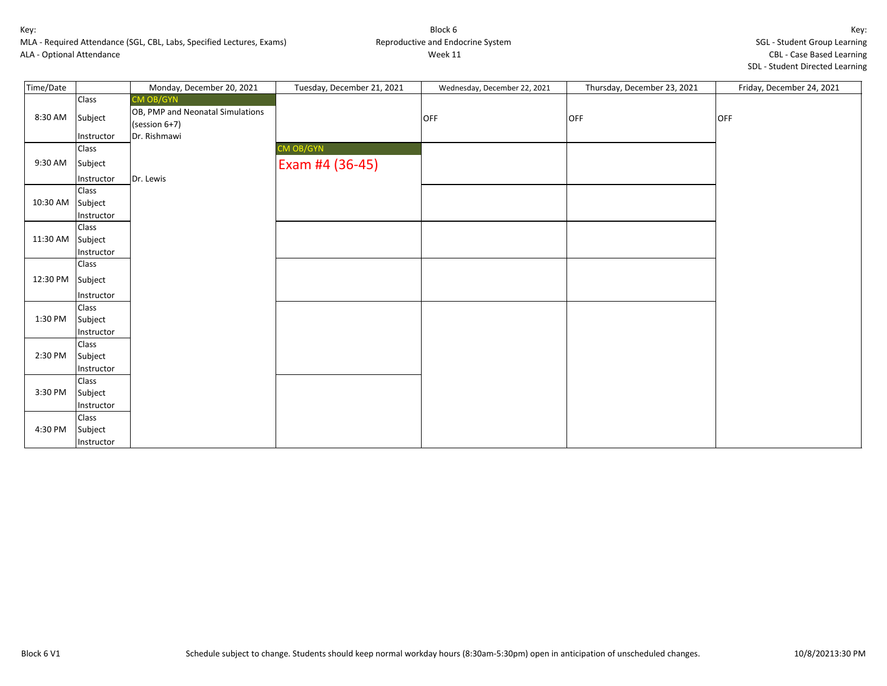MLA - Required Attendance (SGL, CBL, Labs, Specified Lectures, Exams) ALA - Optional Attendance

# Block 6 Reproductive and Endocrine System Week 11

Key: SGL - Student Group Learning CBL - Case Based Learning SDL - Student Directed Learning

| Time/Date |                     | Monday, December 20, 2021        | Tuesday, December 21, 2021 | Wednesday, December 22, 2021 | Thursday, December 23, 2021 | Friday, December 24, 2021 |
|-----------|---------------------|----------------------------------|----------------------------|------------------------------|-----------------------------|---------------------------|
|           | Class               | CM OB/GYN                        |                            |                              |                             |                           |
| 8:30 AM   | Subject             | OB, PMP and Neonatal Simulations |                            | OFF                          | OFF                         | <b>OFF</b>                |
|           | Instructor          | (session 6+7)<br>Dr. Rishmawi    |                            |                              |                             |                           |
|           | Class               |                                  | CM OB/GYN                  |                              |                             |                           |
| 9:30 AM   | Subject             |                                  | Exam #4 (36-45)            |                              |                             |                           |
|           |                     | Dr. Lewis                        |                            |                              |                             |                           |
|           | Instructor<br>Class |                                  |                            |                              |                             |                           |
| 10:30 AM  | Subject             |                                  |                            |                              |                             |                           |
|           | Instructor          |                                  |                            |                              |                             |                           |
|           | Class               |                                  |                            |                              |                             |                           |
| 11:30 AM  | Subject             |                                  |                            |                              |                             |                           |
|           | Instructor          |                                  |                            |                              |                             |                           |
|           | Class               |                                  |                            |                              |                             |                           |
| 12:30 PM  | Subject             |                                  |                            |                              |                             |                           |
|           | Instructor          |                                  |                            |                              |                             |                           |
|           | Class               |                                  |                            |                              |                             |                           |
| 1:30 PM   | Subject             |                                  |                            |                              |                             |                           |
|           | Instructor          |                                  |                            |                              |                             |                           |
|           | Class               |                                  |                            |                              |                             |                           |
| 2:30 PM   | Subject             |                                  |                            |                              |                             |                           |
|           | Instructor          |                                  |                            |                              |                             |                           |
|           | Class               |                                  |                            |                              |                             |                           |
| 3:30 PM   | Subject             |                                  |                            |                              |                             |                           |
|           | Instructor          |                                  |                            |                              |                             |                           |
|           | Class               |                                  |                            |                              |                             |                           |
| 4:30 PM   | Subject             |                                  |                            |                              |                             |                           |
|           | Instructor          |                                  |                            |                              |                             |                           |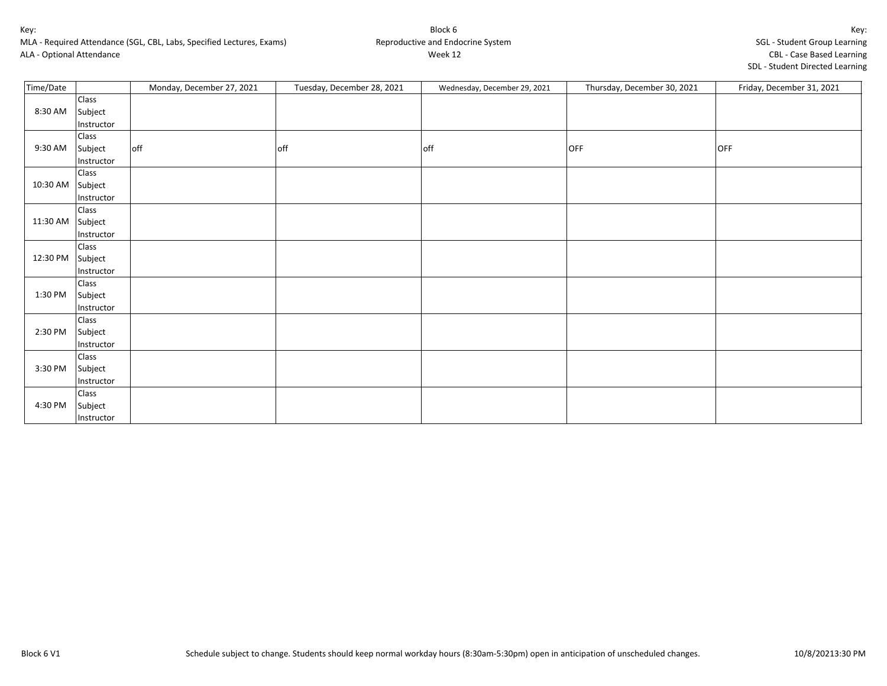MLA - Required Attendance (SGL, CBL, Labs, Specified Lectures, Exams) ALA - Optional Attendance

| Time/Date |                       | Monday, December 27, 2021 | Tuesday, December 28, 2021 | Wednesday, December 29, 2021 | Thursday, December 30, 2021 | Friday, December 31, 2021 |
|-----------|-----------------------|---------------------------|----------------------------|------------------------------|-----------------------------|---------------------------|
|           | Class                 |                           |                            |                              |                             |                           |
| 8:30 AM   | Subject               |                           |                            |                              |                             |                           |
|           | Instructor            |                           |                            |                              |                             |                           |
|           | Class                 |                           |                            |                              |                             |                           |
| 9:30 AM   | Subject               | off                       | off                        | off                          | <b>OFF</b>                  | <b>OFF</b>                |
|           | Instructor            |                           |                            |                              |                             |                           |
| 10:30 AM  | Class                 |                           |                            |                              |                             |                           |
|           | Subject               |                           |                            |                              |                             |                           |
|           | Instructor            |                           |                            |                              |                             |                           |
| 11:30 AM  | Class                 |                           |                            |                              |                             |                           |
|           | Subject               |                           |                            |                              |                             |                           |
|           | Instructor            |                           |                            |                              |                             |                           |
| 12:30 PM  | Class                 |                           |                            |                              |                             |                           |
|           | Subject               |                           |                            |                              |                             |                           |
|           | Instructor<br>Class   |                           |                            |                              |                             |                           |
| 1:30 PM   |                       |                           |                            |                              |                             |                           |
|           | Subject               |                           |                            |                              |                             |                           |
|           | Instructor<br>Class   |                           |                            |                              |                             |                           |
| 2:30 PM   |                       |                           |                            |                              |                             |                           |
|           | Subject<br>Instructor |                           |                            |                              |                             |                           |
|           | Class                 |                           |                            |                              |                             |                           |
| 3:30 PM   | Subject               |                           |                            |                              |                             |                           |
|           | Instructor            |                           |                            |                              |                             |                           |
|           | Class                 |                           |                            |                              |                             |                           |
| 4:30 PM   |                       |                           |                            |                              |                             |                           |
|           | Subject               |                           |                            |                              |                             |                           |
|           | Instructor            |                           |                            |                              |                             |                           |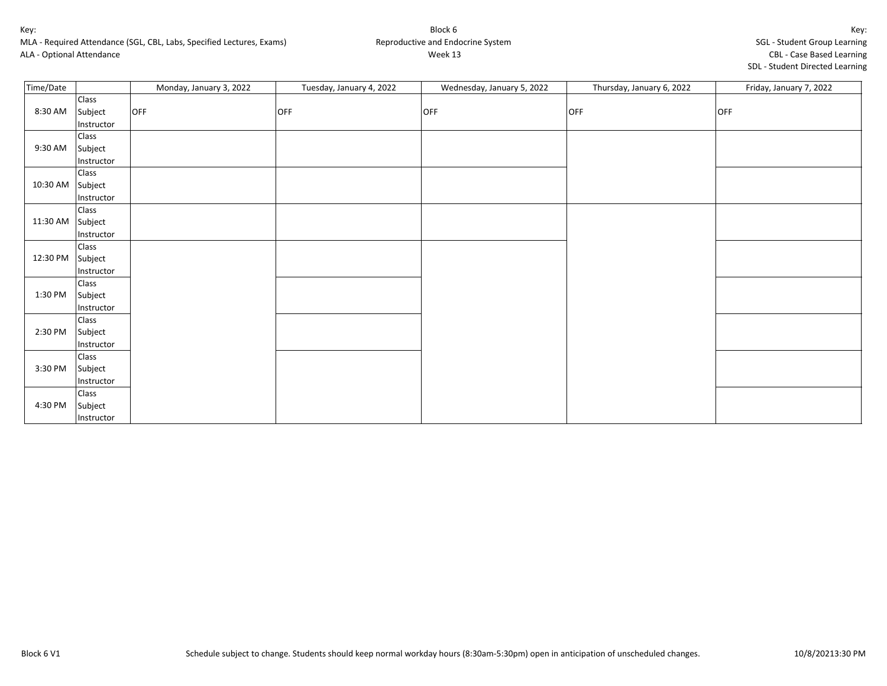MLA - Required Attendance (SGL, CBL, Labs, Specified Lectures, Exams) ALA - Optional Attendance

| CDL - Case Daseu Learning       |  |
|---------------------------------|--|
| SDL - Student Directed Learning |  |

| Time/Date |            | Monday, January 3, 2022 | Tuesday, January 4, 2022 | Wednesday, January 5, 2022 | Thursday, January 6, 2022 | Friday, January 7, 2022 |
|-----------|------------|-------------------------|--------------------------|----------------------------|---------------------------|-------------------------|
| 8:30 AM   | Class      |                         |                          |                            |                           |                         |
|           | Subject    | OFF                     | OFF                      | OFF                        | <b>OFF</b>                | <b>OFF</b>              |
|           | Instructor |                         |                          |                            |                           |                         |
|           | Class      |                         |                          |                            |                           |                         |
| 9:30 AM   | Subject    |                         |                          |                            |                           |                         |
|           | Instructor |                         |                          |                            |                           |                         |
| 10:30 AM  | Class      |                         |                          |                            |                           |                         |
|           | Subject    |                         |                          |                            |                           |                         |
|           | Instructor |                         |                          |                            |                           |                         |
| 11:30 AM  | Class      |                         |                          |                            |                           |                         |
|           | Subject    |                         |                          |                            |                           |                         |
|           | Instructor |                         |                          |                            |                           |                         |
| 12:30 PM  | Class      |                         |                          |                            |                           |                         |
|           | Subject    |                         |                          |                            |                           |                         |
|           | Instructor |                         |                          |                            |                           |                         |
| 1:30 PM   | Class      |                         |                          |                            |                           |                         |
|           | Subject    |                         |                          |                            |                           |                         |
|           | Instructor |                         |                          |                            |                           |                         |
| 2:30 PM   | Class      |                         |                          |                            |                           |                         |
|           | Subject    |                         |                          |                            |                           |                         |
|           | Instructor |                         |                          |                            |                           |                         |
|           | Class      |                         |                          |                            |                           |                         |
| 3:30 PM   | Subject    |                         |                          |                            |                           |                         |
|           | Instructor |                         |                          |                            |                           |                         |
| 4:30 PM   | Class      |                         |                          |                            |                           |                         |
|           | Subject    |                         |                          |                            |                           |                         |
|           | Instructor |                         |                          |                            |                           |                         |